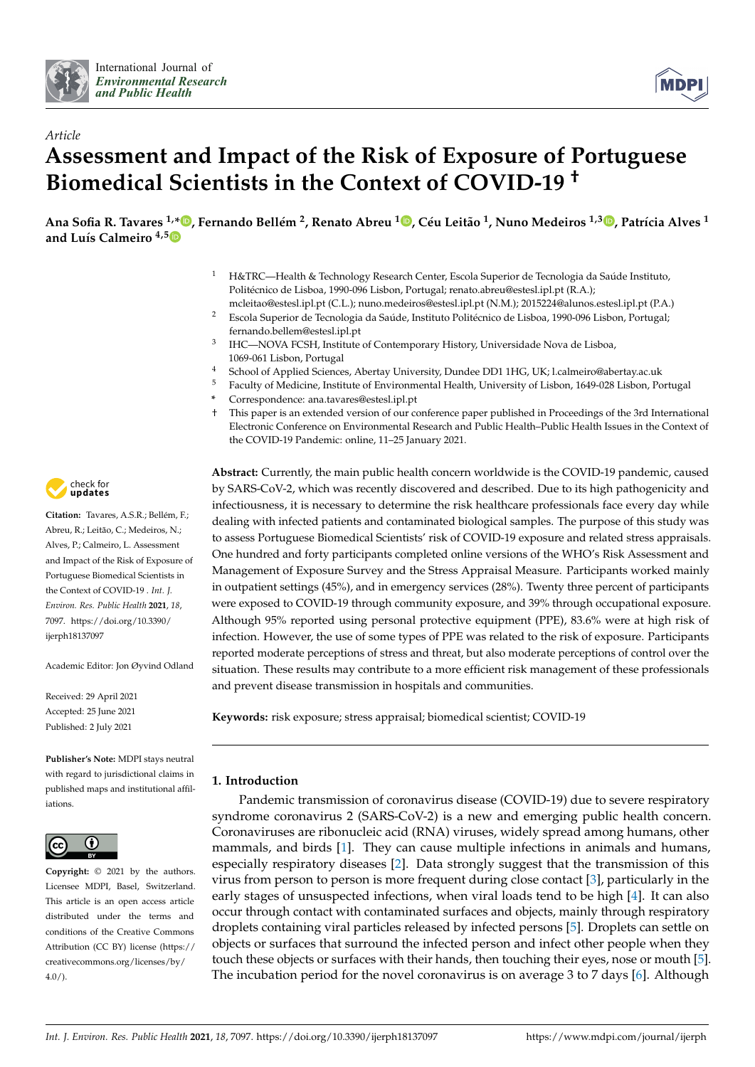



# *Article* **Assessment and Impact of the Risk of Exposure of Portuguese Biomedical Scientists in the Context of COVID-19 †**

Ana Sofia R. Tavares <sup>1,</sup>[\\*](https://orcid.org/0000-0002-5335-7498)®[,](https://orcid.org/0000-0001-5350-4294) Fernando Bellém <sup>2</sup>, Renato Abreu <sup>1</sup>®, Céu Leitão <sup>1</sup>, Nuno Medeiros <sup>1,3</sup>®, Patrícia Alves <sup>1</sup> **and Luís Calmeiro 4,5**

- <sup>1</sup> H&TRC—Health & Technology Research Center, Escola Superior de Tecnologia da Saúde Instituto, Politécnico de Lisboa, 1990-096 Lisbon, Portugal; renato.abreu@estesl.ipl.pt (R.A.); mcleitao@estesl.ipl.pt (C.L.); nuno.medeiros@estesl.ipl.pt (N.M.); 2015224@alunos.estesl.ipl.pt (P.A.)
- <sup>2</sup> Escola Superior de Tecnologia da Saúde, Instituto Politécnico de Lisboa, 1990-096 Lisbon, Portugal; fernando.bellem@estesl.ipl.pt
- 3 IHC—NOVA FCSH, Institute of Contemporary History, Universidade Nova de Lisboa, 1069-061 Lisbon, Portugal
- 4 School of Applied Sciences, Abertay University, Dundee DD1 1HG, UK; l.calmeiro@abertay.ac.uk<br>5 Eaculty of Medicine Institute of Environmental Health University of Lisbon 1649-028 Lisbon, Po
- <sup>5</sup> Faculty of Medicine, Institute of Environmental Health, University of Lisbon, 1649-028 Lisbon, Portugal
- **\*** Correspondence: ana.tavares@estesl.ipl.pt
- † This paper is an extended version of our conference paper published in Proceedings of the 3rd International Electronic Conference on Environmental Research and Public Health–Public Health Issues in the Context of the COVID-19 Pandemic: online, 11–25 January 2021.

**Abstract:** Currently, the main public health concern worldwide is the COVID-19 pandemic, caused by SARS-CoV-2, which was recently discovered and described. Due to its high pathogenicity and infectiousness, it is necessary to determine the risk healthcare professionals face every day while dealing with infected patients and contaminated biological samples. The purpose of this study was to assess Portuguese Biomedical Scientists' risk of COVID-19 exposure and related stress appraisals. One hundred and forty participants completed online versions of the WHO's Risk Assessment and Management of Exposure Survey and the Stress Appraisal Measure. Participants worked mainly in outpatient settings (45%), and in emergency services (28%). Twenty three percent of participants were exposed to COVID-19 through community exposure, and 39% through occupational exposure. Although 95% reported using personal protective equipment (PPE), 83.6% were at high risk of infection. However, the use of some types of PPE was related to the risk of exposure. Participants reported moderate perceptions of stress and threat, but also moderate perceptions of control over the situation. These results may contribute to a more efficient risk management of these professionals and prevent disease transmission in hospitals and communities.

**Keywords:** risk exposure; stress appraisal; biomedical scientist; COVID-19

## **1. Introduction**

Pandemic transmission of coronavirus disease (COVID-19) due to severe respiratory syndrome coronavirus 2 (SARS-CoV-2) is a new and emerging public health concern. Coronaviruses are ribonucleic acid (RNA) viruses, widely spread among humans, other mammals, and birds [\[1\]](#page-10-0). They can cause multiple infections in animals and humans, especially respiratory diseases [\[2\]](#page-10-1). Data strongly suggest that the transmission of this virus from person to person is more frequent during close contact [\[3\]](#page-10-2), particularly in the early stages of unsuspected infections, when viral loads tend to be high [\[4\]](#page-10-3). It can also occur through contact with contaminated surfaces and objects, mainly through respiratory droplets containing viral particles released by infected persons [\[5\]](#page-10-4). Droplets can settle on objects or surfaces that surround the infected person and infect other people when they touch these objects or surfaces with their hands, then touching their eyes, nose or mouth [\[5\]](#page-10-4). The incubation period for the novel coronavirus is on average 3 to 7 days [\[6\]](#page-10-5). Although



**Citation:** Tavares, A.S.R.; Bellém, F.; Abreu, R.; Leitão, C.; Medeiros, N.; Alves, P.; Calmeiro, L. Assessment and Impact of the Risk of Exposure of Portuguese Biomedical Scientists in the Context of COVID-19 . *Int. J. Environ. Res. Public Health* **2021**, *18*, 7097. [https://doi.org/10.3390/](https://doi.org/10.3390/ijerph18137097) [ijerph18137097](https://doi.org/10.3390/ijerph18137097)

Academic Editor: Jon Øyvind Odland

Received: 29 April 2021 Accepted: 25 June 2021 Published: 2 July 2021

**Publisher's Note:** MDPI stays neutral with regard to jurisdictional claims in published maps and institutional affiliations.



**Copyright:** © 2021 by the authors. Licensee MDPI, Basel, Switzerland. This article is an open access article distributed under the terms and conditions of the Creative Commons Attribution (CC BY) license (https:/[/](https://creativecommons.org/licenses/by/4.0/) [creativecommons.org/licenses/by/](https://creativecommons.org/licenses/by/4.0/)  $4.0/$ ).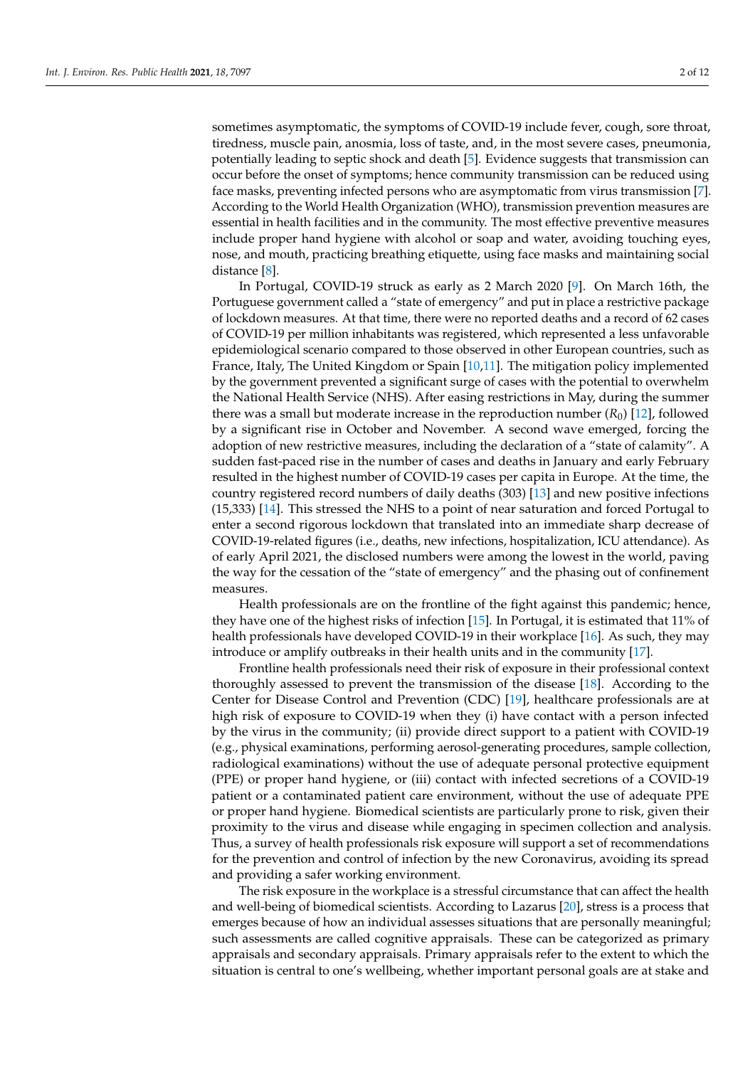sometimes asymptomatic, the symptoms of COVID-19 include fever, cough, sore throat, tiredness, muscle pain, anosmia, loss of taste, and, in the most severe cases, pneumonia, potentially leading to septic shock and death [\[5\]](#page-10-4). Evidence suggests that transmission can occur before the onset of symptoms; hence community transmission can be reduced using face masks, preventing infected persons who are asymptomatic from virus transmission [\[7\]](#page-10-6). According to the World Health Organization (WHO), transmission prevention measures are essential in health facilities and in the community. The most effective preventive measures include proper hand hygiene with alcohol or soap and water, avoiding touching eyes, nose, and mouth, practicing breathing etiquette, using face masks and maintaining social distance [\[8\]](#page-10-7).

In Portugal, COVID-19 struck as early as 2 March 2020 [\[9\]](#page-10-8). On March 16th, the Portuguese government called a "state of emergency" and put in place a restrictive package of lockdown measures. At that time, there were no reported deaths and a record of 62 cases of COVID-19 per million inhabitants was registered, which represented a less unfavorable epidemiological scenario compared to those observed in other European countries, such as France, Italy, The United Kingdom or Spain [\[10,](#page-10-9)[11\]](#page-10-10). The mitigation policy implemented by the government prevented a significant surge of cases with the potential to overwhelm the National Health Service (NHS). After easing restrictions in May, during the summer there was a small but moderate increase in the reproduction number  $(R_0)$  [\[12\]](#page-10-11), followed by a significant rise in October and November. A second wave emerged, forcing the adoption of new restrictive measures, including the declaration of a "state of calamity". A sudden fast-paced rise in the number of cases and deaths in January and early February resulted in the highest number of COVID-19 cases per capita in Europe. At the time, the country registered record numbers of daily deaths (303) [\[13\]](#page-10-12) and new positive infections (15,333) [\[14\]](#page-10-13). This stressed the NHS to a point of near saturation and forced Portugal to enter a second rigorous lockdown that translated into an immediate sharp decrease of COVID-19-related figures (i.e., deaths, new infections, hospitalization, ICU attendance). As of early April 2021, the disclosed numbers were among the lowest in the world, paving the way for the cessation of the "state of emergency" and the phasing out of confinement measures.

Health professionals are on the frontline of the fight against this pandemic; hence, they have one of the highest risks of infection [\[15\]](#page-10-14). In Portugal, it is estimated that 11% of health professionals have developed COVID-19 in their workplace [\[16\]](#page-10-15). As such, they may introduce or amplify outbreaks in their health units and in the community [\[17\]](#page-10-16).

Frontline health professionals need their risk of exposure in their professional context thoroughly assessed to prevent the transmission of the disease [\[18\]](#page-10-17). According to the Center for Disease Control and Prevention (CDC) [\[19\]](#page-11-0), healthcare professionals are at high risk of exposure to COVID-19 when they (i) have contact with a person infected by the virus in the community; (ii) provide direct support to a patient with COVID-19 (e.g., physical examinations, performing aerosol-generating procedures, sample collection, radiological examinations) without the use of adequate personal protective equipment (PPE) or proper hand hygiene, or (iii) contact with infected secretions of a COVID-19 patient or a contaminated patient care environment, without the use of adequate PPE or proper hand hygiene. Biomedical scientists are particularly prone to risk, given their proximity to the virus and disease while engaging in specimen collection and analysis. Thus, a survey of health professionals risk exposure will support a set of recommendations for the prevention and control of infection by the new Coronavirus, avoiding its spread and providing a safer working environment.

The risk exposure in the workplace is a stressful circumstance that can affect the health and well-being of biomedical scientists. According to Lazarus [\[20\]](#page-11-1), stress is a process that emerges because of how an individual assesses situations that are personally meaningful; such assessments are called cognitive appraisals. These can be categorized as primary appraisals and secondary appraisals. Primary appraisals refer to the extent to which the situation is central to one's wellbeing, whether important personal goals are at stake and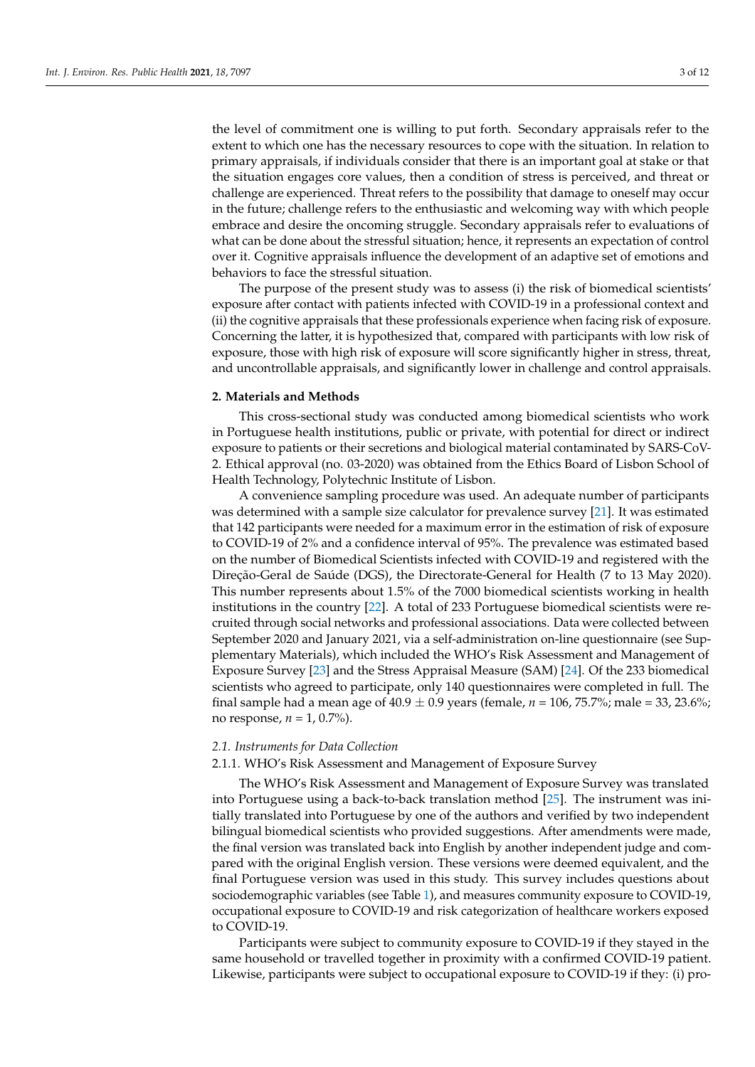the level of commitment one is willing to put forth. Secondary appraisals refer to the extent to which one has the necessary resources to cope with the situation. In relation to primary appraisals, if individuals consider that there is an important goal at stake or that the situation engages core values, then a condition of stress is perceived, and threat or challenge are experienced. Threat refers to the possibility that damage to oneself may occur in the future; challenge refers to the enthusiastic and welcoming way with which people embrace and desire the oncoming struggle. Secondary appraisals refer to evaluations of what can be done about the stressful situation; hence, it represents an expectation of control over it. Cognitive appraisals influence the development of an adaptive set of emotions and behaviors to face the stressful situation.

The purpose of the present study was to assess (i) the risk of biomedical scientists' exposure after contact with patients infected with COVID-19 in a professional context and (ii) the cognitive appraisals that these professionals experience when facing risk of exposure. Concerning the latter, it is hypothesized that, compared with participants with low risk of exposure, those with high risk of exposure will score significantly higher in stress, threat, and uncontrollable appraisals, and significantly lower in challenge and control appraisals.

### **2. Materials and Methods**

This cross-sectional study was conducted among biomedical scientists who work in Portuguese health institutions, public or private, with potential for direct or indirect exposure to patients or their secretions and biological material contaminated by SARS-CoV-2. Ethical approval (no. 03-2020) was obtained from the Ethics Board of Lisbon School of Health Technology, Polytechnic Institute of Lisbon.

A convenience sampling procedure was used. An adequate number of participants was determined with a sample size calculator for prevalence survey [\[21\]](#page-11-2). It was estimated that 142 participants were needed for a maximum error in the estimation of risk of exposure to COVID-19 of 2% and a confidence interval of 95%. The prevalence was estimated based on the number of Biomedical Scientists infected with COVID-19 and registered with the Direção-Geral de Saúde (DGS), the Directorate-General for Health (7 to 13 May 2020). This number represents about 1.5% of the 7000 biomedical scientists working in health institutions in the country [\[22\]](#page-11-3). A total of 233 Portuguese biomedical scientists were recruited through social networks and professional associations. Data were collected between September 2020 and January 2021, via a self-administration on-line questionnaire (see Supplementary Materials), which included the WHO's Risk Assessment and Management of Exposure Survey [\[23\]](#page-11-4) and the Stress Appraisal Measure (SAM) [\[24\]](#page-11-5). Of the 233 biomedical scientists who agreed to participate, only 140 questionnaires were completed in full. The final sample had a mean age of  $40.9 \pm 0.9$  years (female,  $n = 106$ , 75.7%; male = 33, 23.6%; no response, *n* = 1, 0.7%).

## *2.1. Instruments for Data Collection*

### 2.1.1. WHO's Risk Assessment and Management of Exposure Survey

The WHO's Risk Assessment and Management of Exposure Survey was translated into Portuguese using a back-to-back translation method [\[25\]](#page-11-6). The instrument was initially translated into Portuguese by one of the authors and verified by two independent bilingual biomedical scientists who provided suggestions. After amendments were made, the final version was translated back into English by another independent judge and compared with the original English version. These versions were deemed equivalent, and the final Portuguese version was used in this study. This survey includes questions about sociodemographic variables (see Table [1\)](#page-3-0), and measures community exposure to COVID-19, occupational exposure to COVID-19 and risk categorization of healthcare workers exposed to COVID-19.

Participants were subject to community exposure to COVID-19 if they stayed in the same household or travelled together in proximity with a confirmed COVID-19 patient. Likewise, participants were subject to occupational exposure to COVID-19 if they: (i) pro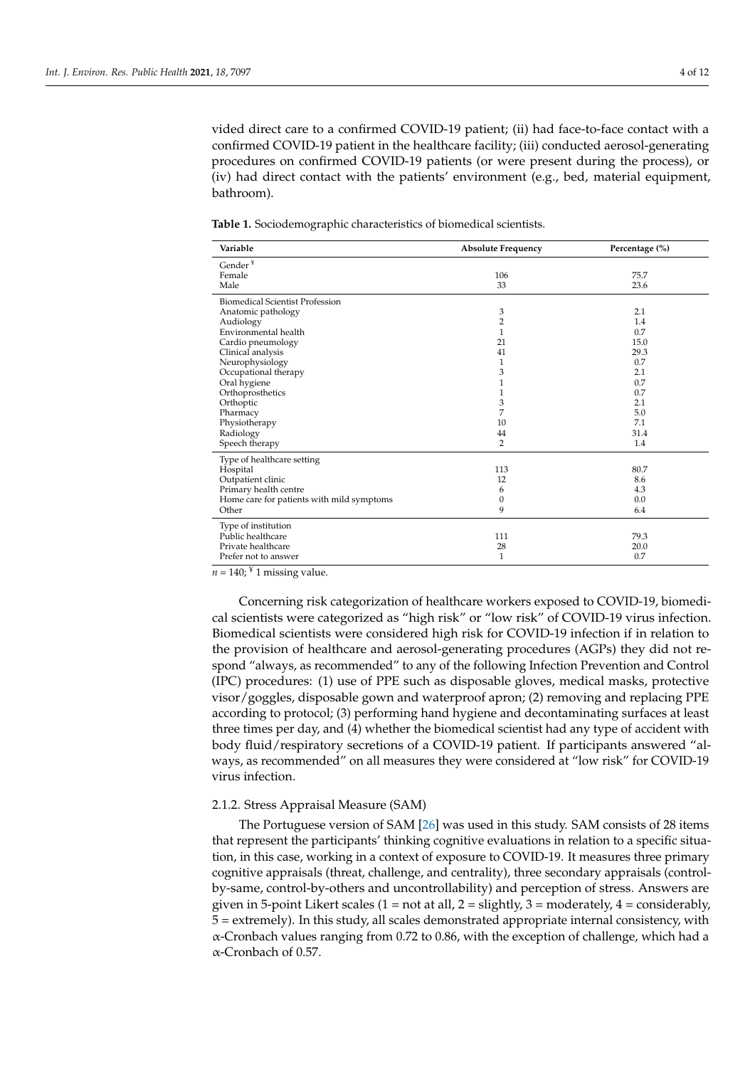vided direct care to a confirmed COVID-19 patient; (ii) had face-to-face contact with a confirmed COVID-19 patient in the healthcare facility; (iii) conducted aerosol-generating procedures on confirmed COVID-19 patients (or were present during the process), or (iv) had direct contact with the patients' environment (e.g., bed, material equipment, bathroom).

<span id="page-3-0"></span>**Table 1.** Sociodemographic characteristics of biomedical scientists.

| Variable                                  | <b>Absolute Frequency</b> | Percentage (%) |  |
|-------------------------------------------|---------------------------|----------------|--|
| Gender $\mathbf{Y}$                       |                           |                |  |
| Female                                    | 106                       | 75.7           |  |
| Male                                      | 33                        | 23.6           |  |
| <b>Biomedical Scientist Profession</b>    |                           |                |  |
| Anatomic pathology                        | 3                         | 2.1            |  |
| Audiology                                 | 2                         | 1.4            |  |
| Environmental health                      | 1                         | 0.7            |  |
| Cardio pneumology                         | 21                        | 15.0           |  |
| Clinical analysis                         | 41                        | 29.3           |  |
| Neurophysiology                           | 1                         | 0.7            |  |
| Occupational therapy                      | 3                         | 2.1            |  |
| Oral hygiene                              | 1                         | 0.7            |  |
| Orthoprosthetics                          | 1                         | 0.7            |  |
| Orthoptic                                 | 3                         | 2.1            |  |
| Pharmacy                                  | 7                         | 5.0            |  |
| Physiotherapy                             | 10                        | 7.1            |  |
| Radiology                                 | 44                        | 31.4           |  |
| Speech therapy                            | $\overline{2}$            | 1.4            |  |
| Type of healthcare setting                |                           |                |  |
| Hospital                                  | 113                       | 80.7           |  |
| Outpatient clinic                         | 12                        | 8.6            |  |
| Primary health centre                     | 6                         | 4.3            |  |
| Home care for patients with mild symptoms | $\mathbf{0}$              | 0.0            |  |
| Other                                     | 9                         | 6.4            |  |
| Type of institution                       |                           |                |  |
| Public healthcare                         | 111                       | 79.3           |  |
| Private healthcare                        | 28                        | 20.0           |  |
| Prefer not to answer<br>$\overline{V}$ .  | 1                         | 0.7            |  |

 $n = 140$ ;  $\frac{4}{3}$  1 missing value.

Concerning risk categorization of healthcare workers exposed to COVID-19, biomedical scientists were categorized as "high risk" or "low risk" of COVID-19 virus infection. Biomedical scientists were considered high risk for COVID-19 infection if in relation to the provision of healthcare and aerosol-generating procedures (AGPs) they did not respond "always, as recommended" to any of the following Infection Prevention and Control (IPC) procedures: (1) use of PPE such as disposable gloves, medical masks, protective visor/goggles, disposable gown and waterproof apron; (2) removing and replacing PPE according to protocol; (3) performing hand hygiene and decontaminating surfaces at least three times per day, and (4) whether the biomedical scientist had any type of accident with body fluid/respiratory secretions of a COVID-19 patient. If participants answered "always, as recommended" on all measures they were considered at "low risk" for COVID-19 virus infection.

## 2.1.2. Stress Appraisal Measure (SAM)

The Portuguese version of SAM [\[26\]](#page-11-7) was used in this study. SAM consists of 28 items that represent the participants' thinking cognitive evaluations in relation to a specific situation, in this case, working in a context of exposure to COVID-19. It measures three primary cognitive appraisals (threat, challenge, and centrality), three secondary appraisals (controlby-same, control-by-others and uncontrollability) and perception of stress. Answers are given in 5-point Likert scales (1 = not at all, 2 = slightly, 3 = moderately, 4 = considerably, 5 = extremely). In this study, all scales demonstrated appropriate internal consistency, with α-Cronbach values ranging from 0.72 to 0.86, with the exception of challenge, which had a α-Cronbach of 0.57.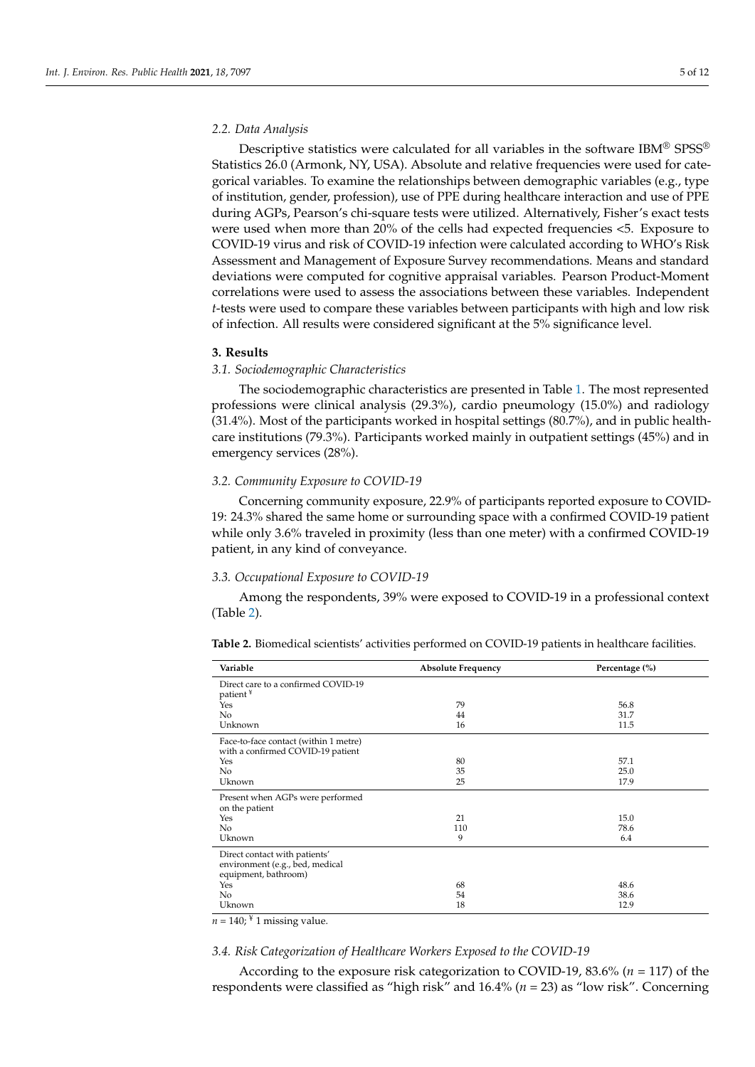### *2.2. Data Analysis*

Descriptive statistics were calculated for all variables in the software IBM<sup>®</sup> SPSS<sup>®</sup> Statistics 26.0 (Armonk, NY, USA). Absolute and relative frequencies were used for categorical variables. To examine the relationships between demographic variables (e.g., type of institution, gender, profession), use of PPE during healthcare interaction and use of PPE during AGPs, Pearson's chi-square tests were utilized. Alternatively, Fisher's exact tests were used when more than 20% of the cells had expected frequencies <5. Exposure to COVID-19 virus and risk of COVID-19 infection were calculated according to WHO's Risk Assessment and Management of Exposure Survey recommendations. Means and standard deviations were computed for cognitive appraisal variables. Pearson Product-Moment correlations were used to assess the associations between these variables. Independent *t*-tests were used to compare these variables between participants with high and low risk of infection. All results were considered significant at the 5% significance level.

## **3. Results**

## *3.1. Sociodemographic Characteristics*

The sociodemographic characteristics are presented in Table [1.](#page-3-0) The most represented professions were clinical analysis (29.3%), cardio pneumology (15.0%) and radiology (31.4%). Most of the participants worked in hospital settings (80.7%), and in public healthcare institutions (79.3%). Participants worked mainly in outpatient settings (45%) and in emergency services (28%).

## *3.2. Community Exposure to COVID-19*

Concerning community exposure, 22.9% of participants reported exposure to COVID-19: 24.3% shared the same home or surrounding space with a confirmed COVID-19 patient while only 3.6% traveled in proximity (less than one meter) with a confirmed COVID-19 patient, in any kind of conveyance.

## *3.3. Occupational Exposure to COVID-19*

Among the respondents, 39% were exposed to COVID-19 in a professional context (Table [2\)](#page-4-0).

<span id="page-4-0"></span>**Table 2.** Biomedical scientists' activities performed on COVID-19 patients in healthcare facilities.

| Variable                                                                                 | <b>Absolute Frequency</b> | Percentage (%) |
|------------------------------------------------------------------------------------------|---------------------------|----------------|
| Direct care to a confirmed COVID-19<br>patient <sup>¥</sup>                              |                           |                |
| Yes                                                                                      | 79                        | 56.8           |
| N <sub>0</sub>                                                                           | 44                        | 31.7           |
| Unknown                                                                                  | 16                        | 11.5           |
| Face-to-face contact (within 1 metre)<br>with a confirmed COVID-19 patient               |                           |                |
| Yes                                                                                      | 80                        | 57.1           |
| No                                                                                       | 35                        | 25.0           |
| Uknown                                                                                   | 25                        | 17.9           |
| Present when AGPs were performed<br>on the patient                                       |                           |                |
| Yes                                                                                      | 21                        | 15.0           |
| N <sub>0</sub>                                                                           | 110                       | 78.6           |
| Uknown                                                                                   | 9                         | 6.4            |
| Direct contact with patients'<br>environment (e.g., bed, medical<br>equipment, bathroom) |                           |                |
| Yes                                                                                      | 68                        | 48.6           |
| No                                                                                       | 54                        | 38.6           |
| Uknown                                                                                   | 18                        | 12.9           |

 $n = 140$ ; <sup>¥</sup> 1 missing value.

### *3.4. Risk Categorization of Healthcare Workers Exposed to the COVID-19*

According to the exposure risk categorization to COVID-19, 83.6% (*n* = 117) of the respondents were classified as "high risk" and 16.4% (*n* = 23) as "low risk". Concerning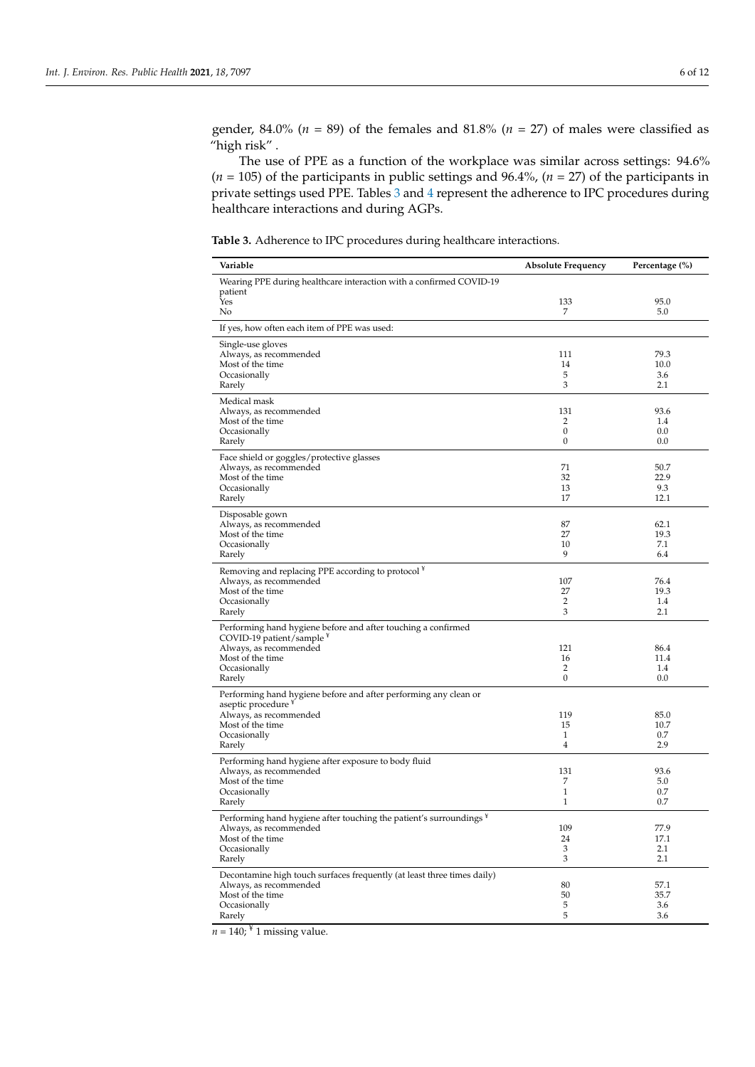gender, 84.0% ( $n = 89$ ) of the females and 81.8% ( $n = 27$ ) of males were classified as "high risk" .

The use of PPE as a function of the workplace was similar across settings: 94.6% (*n* = 105) of the participants in public settings and 96.4%, (*n* = 27) of the participants in private settings used PPE. Tables [3](#page-5-0) and [4](#page-6-0) represent the adherence to IPC procedures during healthcare interactions and during AGPs.

<span id="page-5-0"></span>**Table 3.** Adherence to IPC procedures during healthcare interactions.

| Variable                                                                                | <b>Absolute Frequency</b>      | Percentage (%) |
|-----------------------------------------------------------------------------------------|--------------------------------|----------------|
| Wearing PPE during healthcare interaction with a confirmed COVID-19                     |                                |                |
| patient<br>Yes                                                                          | 133                            | 95.0           |
| No                                                                                      | 7                              | 5.0            |
| If yes, how often each item of PPE was used:                                            |                                |                |
| Single-use gloves                                                                       |                                |                |
| Always, as recommended<br>Most of the time                                              | 111<br>14                      | 79.3<br>10.0   |
| Occasionally                                                                            | 5                              | 3.6            |
| Rarely                                                                                  | 3                              | 2.1            |
| Medical mask<br>Always, as recommended                                                  | 131                            | 93.6           |
| Most of the time                                                                        | 2                              | 1.4            |
| Occasionally                                                                            | 0<br>0                         | 0.0            |
| Rarely                                                                                  |                                | 0.0            |
| Face shield or goggles/protective glasses<br>Always, as recommended                     | 71                             | 50.7           |
| Most of the time                                                                        | 32                             | 22.9           |
| Occasionally                                                                            | 13<br>17                       | 9.3<br>12.1    |
| Rarely                                                                                  |                                |                |
| Disposable gown<br>Always, as recommended                                               | 87                             | 62.1           |
| Most of the time                                                                        | 27                             | 19.3           |
| Occasionally<br>Rarely                                                                  | 10<br>9                        | 7.1<br>6.4     |
|                                                                                         |                                |                |
| Removing and replacing PPE according to protocol <sup>¥</sup><br>Always, as recommended | 107                            | 76.4           |
| Most of the time                                                                        | 27                             | 19.3           |
| Occasionally<br>Rarely                                                                  | 2<br>3                         | 1.4<br>2.1     |
| Performing hand hygiene before and after touching a confirmed                           |                                |                |
| COVID-19 patient/sample $*$                                                             |                                |                |
| Always, as recommended                                                                  | 121                            | 86.4           |
| Most of the time<br>Occasionally                                                        | 16<br>2                        | 11.4<br>1.4    |
| Rarely                                                                                  | 0                              | 0.0            |
| Performing hand hygiene before and after performing any clean or                        |                                |                |
| aseptic procedure <sup>*</sup><br>Always, as recommended                                | 119                            | 85.0           |
| Most of the time                                                                        | 15                             | 10.7           |
| Occasionally<br>Rarely                                                                  | $\mathbf{1}$<br>$\overline{4}$ | 0.7<br>2.9     |
| Performing hand hygiene after exposure to body fluid                                    |                                |                |
| Always, as recommended                                                                  | 131                            | 93.6           |
| Most of the time<br>Occasionally                                                        | 7<br>$\mathbf{1}$              | 5.0<br>0.7     |
| Rarely                                                                                  | $\mathbf{1}$                   | 0.7            |
| Performing hand hygiene after touching the patient's surroundings <sup>¥</sup>          |                                |                |
| Always, as recommended                                                                  | 109                            | 77.9           |
| Most of the time<br>Occasionally                                                        | 24<br>3                        | 17.1<br>2.1    |
| Rarely                                                                                  | 3                              | 2.1            |
| Decontamine high touch surfaces frequently (at least three times daily)                 |                                |                |
| Always, as recommended<br>Most of the time                                              | 80<br>50                       | 57.1<br>35.7   |
| Occasionally                                                                            | 5                              | 3.6            |
| Rarely                                                                                  | 5                              | 3.6            |

 $n = 140$ ;  $\frac{4}{3}$  1 missing value.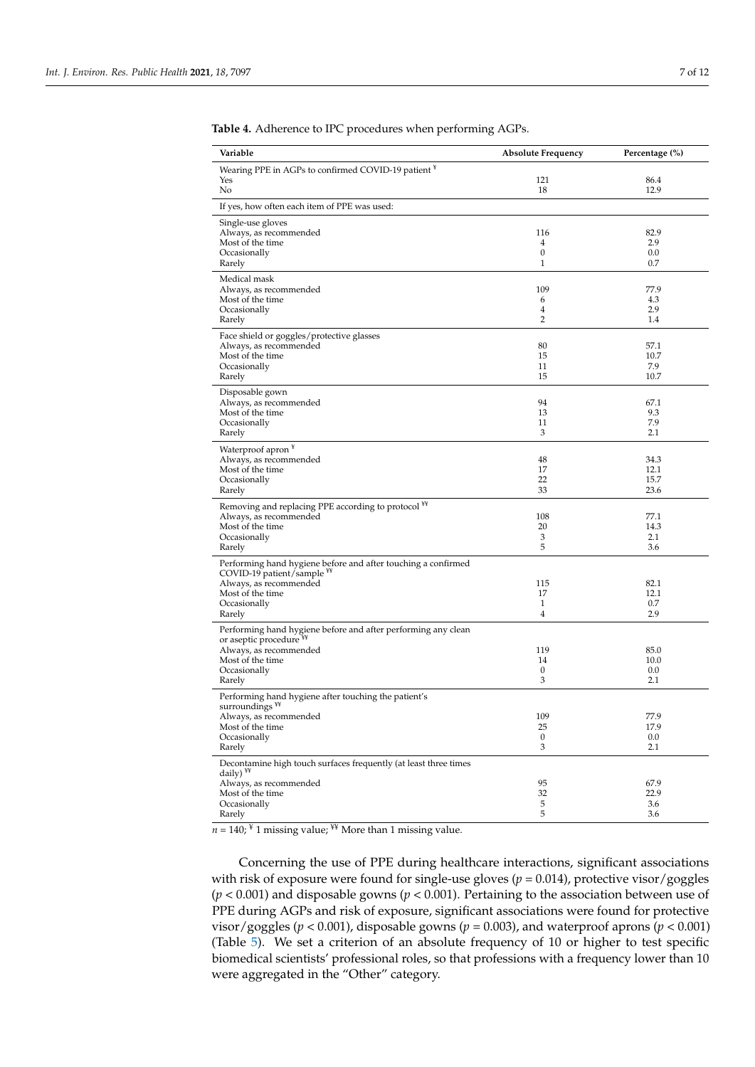| Variable                                                                                               | <b>Absolute Frequency</b> | Percentage (%) |
|--------------------------------------------------------------------------------------------------------|---------------------------|----------------|
| Wearing PPE in AGPs to confirmed COVID-19 patient ¥                                                    |                           |                |
| Yes                                                                                                    | 121                       | 86.4           |
| No                                                                                                     | 18                        | 12.9           |
| If yes, how often each item of PPE was used:                                                           |                           |                |
| Single-use gloves<br>Always, as recommended                                                            | 116                       | 82.9           |
| Most of the time                                                                                       | $\overline{4}$            | 2.9            |
| Occasionally                                                                                           | 0                         | 0.0            |
| Rarely                                                                                                 | $\mathbf{1}$              | 0.7            |
| Medical mask                                                                                           |                           |                |
| Always, as recommended<br>Most of the time                                                             | 109<br>6                  | 77.9<br>4.3    |
| Occasionally                                                                                           | 4                         | 2.9            |
| Rarely                                                                                                 | 2                         | 1.4            |
| Face shield or goggles/protective glasses                                                              |                           |                |
| Always, as recommended                                                                                 | 80                        | 57.1           |
| Most of the time<br>Occasionally                                                                       | 15<br>11                  | 10.7<br>7.9    |
| Rarely                                                                                                 | 15                        | 10.7           |
| Disposable gown                                                                                        |                           |                |
| Always, as recommended                                                                                 | 94                        | 67.1           |
| Most of the time                                                                                       | 13                        | 9.3            |
| Occasionally                                                                                           | 11<br>3                   | 7.9            |
| Rarely                                                                                                 |                           | 2.1            |
| Waterproof apron <sup>¥</sup><br>Always, as recommended                                                | 48                        | 34.3           |
| Most of the time                                                                                       | 17                        | 12.1           |
| Occasionally                                                                                           | 22                        | 15.7           |
| Rarely                                                                                                 | 33                        | 23.6           |
| Removing and replacing PPE according to protocol <sup>¥¥</sup>                                         |                           |                |
| Always, as recommended                                                                                 | 108                       | 77.1<br>14.3   |
| Most of the time<br>Occasionally                                                                       | 20<br>3                   | 2.1            |
| Rarely                                                                                                 | 5                         | 3.6            |
| Performing hand hygiene before and after touching a confirmed<br>COVID-19 patient/sample <sup>¥¥</sup> |                           |                |
| Always, as recommended                                                                                 | 115                       | 82.1           |
| Most of the time                                                                                       | 17                        | 12.1           |
| Occasionally<br>Rarely                                                                                 | $\mathbf{1}$<br>4         | 0.7<br>2.9     |
| Performing hand hygiene before and after performing any clean                                          |                           |                |
| or aseptic procedure **                                                                                |                           |                |
| Always, as recommended                                                                                 | 119                       | 85.0           |
| Most of the time<br>Occasionally                                                                       | 14<br>$\boldsymbol{0}$    | 10.0<br>0.0    |
| Rarely                                                                                                 | 3                         | 2.1            |
| Performing hand hygiene after touching the patient's<br>surroundings <sup>¥¥</sup>                     |                           |                |
| Always, as recommended                                                                                 | 109                       | 77.9           |
| Most of the time                                                                                       | 25                        | 17.9           |
| Occasionally<br>Rarely                                                                                 | $\mathbf{0}$<br>3         | 0.0<br>2.1     |
| Decontamine high touch surfaces frequently (at least three times<br>daily) ¥¥                          |                           |                |
| Always, as recommended                                                                                 | 95                        | 67.9           |
| Most of the time                                                                                       | 32                        | 22.9           |
| Occasionally                                                                                           | 5                         | 3.6            |
| Rarely                                                                                                 | 5                         | 3.6            |

<span id="page-6-0"></span>**Table 4.** Adherence to IPC procedures when performing AGPs.

 $n = 140$ ; <sup>¥</sup> 1 missing value; <sup>¥¥</sup> More than 1 missing value.

Concerning the use of PPE during healthcare interactions, significant associations with risk of exposure were found for single-use gloves ( $p = 0.014$ ), protective visor/goggles (*p* < 0.001) and disposable gowns (*p* < 0.001). Pertaining to the association between use of PPE during AGPs and risk of exposure, significant associations were found for protective visor/goggles (*p* < 0.001), disposable gowns (*p* = 0.003), and waterproof aprons (*p* < 0.001) (Table [5\)](#page-7-0). We set a criterion of an absolute frequency of 10 or higher to test specific biomedical scientists' professional roles, so that professions with a frequency lower than 10 were aggregated in the "Other" category.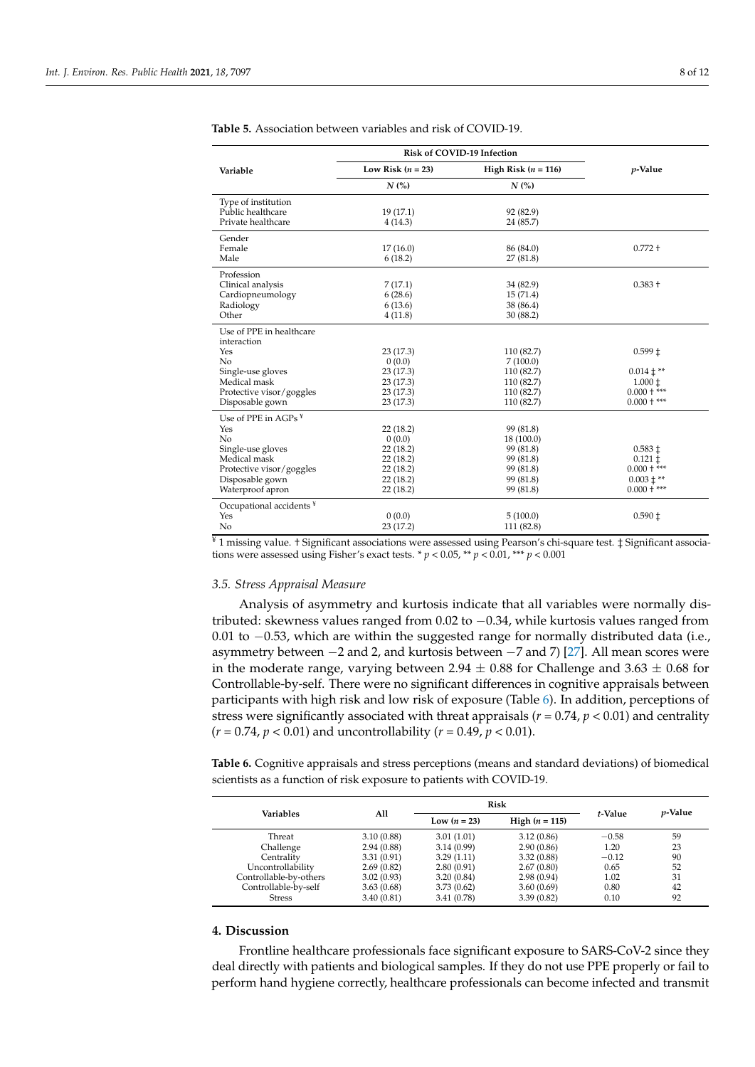$\overline{a}$ 

|                                     | Risk of COVID-19 Infection |                       |                    |
|-------------------------------------|----------------------------|-----------------------|--------------------|
| Variable                            | Low Risk $(n = 23)$        | High Risk $(n = 116)$ | $p$ -Value         |
|                                     | N(%)                       | N(%)                  |                    |
| Type of institution                 |                            |                       |                    |
| Public healthcare                   | 19 (17.1)                  | 92 (82.9)             |                    |
| Private healthcare                  | 4(14.3)                    | 24 (85.7)             |                    |
| Gender                              |                            |                       |                    |
| Female                              | 17(16.0)                   | 86 (84.0)             | $0.772 +$          |
| Male                                | 6(18.2)                    | 27(81.8)              |                    |
| Profession                          |                            |                       |                    |
| Clinical analysis                   | 7(17.1)                    | 34 (82.9)             | $0.383 +$          |
| Cardiopneumology                    | 6(28.6)                    | 15(71.4)              |                    |
| Radiology                           | 6(13.6)                    | 38 (86.4)             |                    |
| Other                               | 4(11.8)                    | 30 (88.2)             |                    |
| Use of PPE in healthcare            |                            |                       |                    |
| interaction                         |                            |                       |                    |
| Yes                                 | 23 (17.3)                  | 110 (82.7)            | $0.599 \pm$        |
| No                                  | 0(0.0)                     | 7(100.0)              |                    |
| Single-use gloves                   | 23 (17.3)                  | 110 (82.7)            | $0.014 \pm **$     |
| Medical mask                        | 23 (17.3)                  | 110 (82.7)            | $1.000 \pm$        |
| Protective visor/goggles            | 23 (17.3)                  | 110 (82.7)            | $0.000 +***$       |
| Disposable gown                     | 23 (17.3)                  | 110 (82.7)            | $0.000 +***$       |
| Use of PPE in AGPs ¥                |                            |                       |                    |
| Yes                                 | 22(18.2)                   | 99 (81.8)             |                    |
| No                                  | 0(0.0)                     | 18 (100.0)            |                    |
| Single-use gloves                   | 22 (18.2)                  | 99 (81.8)             | $0.583 \pm$        |
| Medical mask                        | 22 (18.2)                  | 99 (81.8)             | $0.121 \downarrow$ |
| Protective visor/goggles            | 22 (18.2)                  | 99 (81.8)             | $0.000 +***$       |
| Disposable gown                     | 22 (18.2)                  | 99 (81.8)             | $0.003 \pm **$     |
| Waterproof apron                    | 22 (18.2)                  | 99 (81.8)             | $0.000 +$ ***      |
| Occupational accidents <sup>¥</sup> |                            |                       |                    |
| Yes                                 | 0(0.0)                     | 5(100.0)              | $0.590 \downarrow$ |
| No                                  | 23 (17.2)                  | 111 (82.8)            |                    |

<span id="page-7-0"></span>**Table 5.** Association between variables and risk of COVID-19.

¥ 1 missing value. † Significant associations were assessed using Pearson's chi-square test. ‡ Significant associations were assessed using Fisher's exact tests. \* *p* < 0.05, \*\* *p* < 0.01, \*\*\* *p* < 0.001

#### *3.5. Stress Appraisal Measure*

Analysis of asymmetry and kurtosis indicate that all variables were normally distributed: skewness values ranged from  $0.02$  to  $-0.34$ , while kurtosis values ranged from 0.01 to −0.53, which are within the suggested range for normally distributed data (i.e., asymmetry between −2 and 2, and kurtosis between −7 and 7) [\[27\]](#page-11-8). All mean scores were in the moderate range, varying between 2.94  $\pm$  0.88 for Challenge and 3.63  $\pm$  0.68 for Controllable-by-self. There were no significant differences in cognitive appraisals between participants with high risk and low risk of exposure (Table [6\)](#page-7-1). In addition, perceptions of stress were significantly associated with threat appraisals ( $r = 0.74$ ,  $p < 0.01$ ) and centrality  $(r = 0.74, p < 0.01)$  and uncontrollability  $(r = 0.49, p < 0.01)$ .

<span id="page-7-1"></span>**Table 6.** Cognitive appraisals and stress perceptions (means and standard deviations) of biomedical scientists as a function of risk exposure to patients with COVID-19.

| Variables              |            | <b>Risk</b>    |                         |         |                 |
|------------------------|------------|----------------|-------------------------|---------|-----------------|
|                        | All        | Low $(n = 23)$ | <b>High</b> $(n = 115)$ | t-Value | <i>p</i> -Value |
| Threat                 | 3.10(0.88) | 3.01(1.01)     | 3.12(0.86)              | $-0.58$ | 59              |
| Challenge              | 2.94(0.88) | 3.14(0.99)     | 2.90(0.86)              | 1.20    | 23              |
| Centrality             | 3.31(0.91) | 3.29(1.11)     | 3.32(0.88)              | $-0.12$ | 90              |
| Uncontrollability      | 2.69(0.82) | 2.80(0.91)     | 2.67(0.80)              | 0.65    | 52              |
| Controllable-by-others | 3.02(0.93) | 3.20(0.84)     | 2.98(0.94)              | 1.02    | 31              |
| Controllable-by-self   | 3.63(0.68) | 3.73(0.62)     | 3.60(0.69)              | 0.80    | 42              |
| <b>Stress</b>          | 3.40(0.81) | 3.41 (0.78)    | 3.39(0.82)              | 0.10    | 92              |

### **4. Discussion**

Frontline healthcare professionals face significant exposure to SARS-CoV-2 since they deal directly with patients and biological samples. If they do not use PPE properly or fail to perform hand hygiene correctly, healthcare professionals can become infected and transmit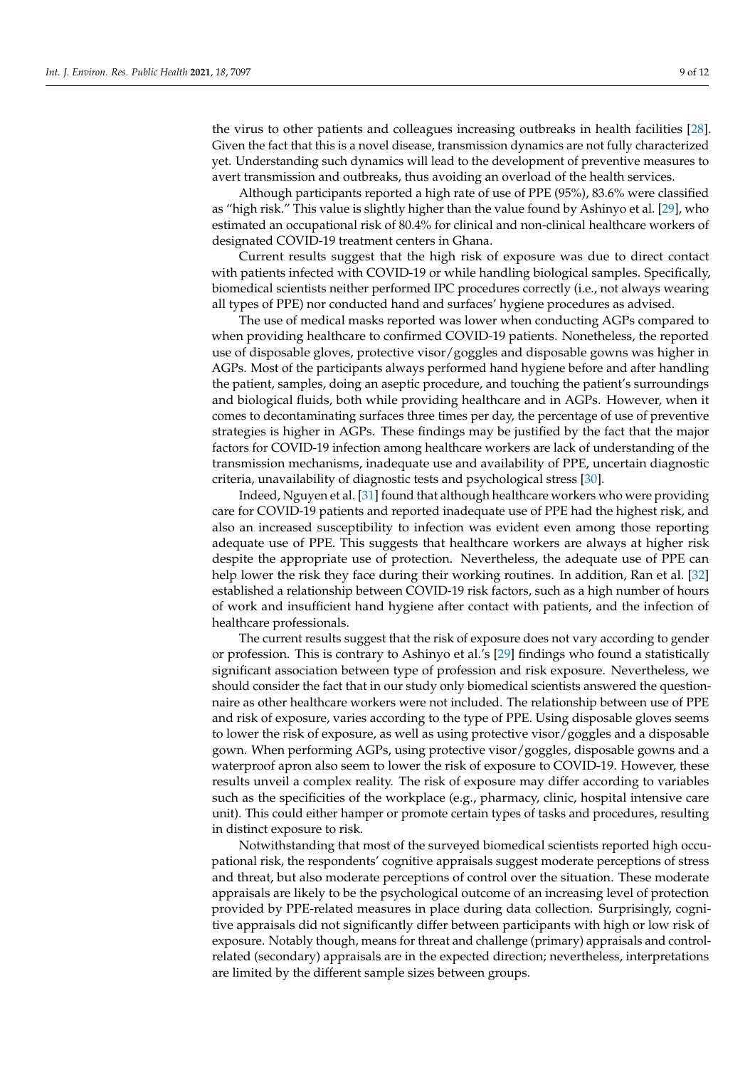the virus to other patients and colleagues increasing outbreaks in health facilities [\[28\]](#page-11-9). Given the fact that this is a novel disease, transmission dynamics are not fully characterized yet. Understanding such dynamics will lead to the development of preventive measures to avert transmission and outbreaks, thus avoiding an overload of the health services.

Although participants reported a high rate of use of PPE (95%), 83.6% were classified as "high risk." This value is slightly higher than the value found by Ashinyo et al. [\[29\]](#page-11-10), who estimated an occupational risk of 80.4% for clinical and non-clinical healthcare workers of designated COVID-19 treatment centers in Ghana.

Current results suggest that the high risk of exposure was due to direct contact with patients infected with COVID-19 or while handling biological samples. Specifically, biomedical scientists neither performed IPC procedures correctly (i.e., not always wearing all types of PPE) nor conducted hand and surfaces' hygiene procedures as advised.

The use of medical masks reported was lower when conducting AGPs compared to when providing healthcare to confirmed COVID-19 patients. Nonetheless, the reported use of disposable gloves, protective visor/goggles and disposable gowns was higher in AGPs. Most of the participants always performed hand hygiene before and after handling the patient, samples, doing an aseptic procedure, and touching the patient's surroundings and biological fluids, both while providing healthcare and in AGPs. However, when it comes to decontaminating surfaces three times per day, the percentage of use of preventive strategies is higher in AGPs. These findings may be justified by the fact that the major factors for COVID-19 infection among healthcare workers are lack of understanding of the transmission mechanisms, inadequate use and availability of PPE, uncertain diagnostic criteria, unavailability of diagnostic tests and psychological stress [\[30\]](#page-11-11).

Indeed, Nguyen et al. [\[31\]](#page-11-12) found that although healthcare workers who were providing care for COVID-19 patients and reported inadequate use of PPE had the highest risk, and also an increased susceptibility to infection was evident even among those reporting adequate use of PPE. This suggests that healthcare workers are always at higher risk despite the appropriate use of protection. Nevertheless, the adequate use of PPE can help lower the risk they face during their working routines. In addition, Ran et al. [\[32\]](#page-11-13) established a relationship between COVID-19 risk factors, such as a high number of hours of work and insufficient hand hygiene after contact with patients, and the infection of healthcare professionals.

The current results suggest that the risk of exposure does not vary according to gender or profession. This is contrary to Ashinyo et al.'s [\[29\]](#page-11-10) findings who found a statistically significant association between type of profession and risk exposure. Nevertheless, we should consider the fact that in our study only biomedical scientists answered the questionnaire as other healthcare workers were not included. The relationship between use of PPE and risk of exposure, varies according to the type of PPE. Using disposable gloves seems to lower the risk of exposure, as well as using protective visor/goggles and a disposable gown. When performing AGPs, using protective visor/goggles, disposable gowns and a waterproof apron also seem to lower the risk of exposure to COVID-19. However, these results unveil a complex reality. The risk of exposure may differ according to variables such as the specificities of the workplace (e.g., pharmacy, clinic, hospital intensive care unit). This could either hamper or promote certain types of tasks and procedures, resulting in distinct exposure to risk.

Notwithstanding that most of the surveyed biomedical scientists reported high occupational risk, the respondents' cognitive appraisals suggest moderate perceptions of stress and threat, but also moderate perceptions of control over the situation. These moderate appraisals are likely to be the psychological outcome of an increasing level of protection provided by PPE-related measures in place during data collection. Surprisingly, cognitive appraisals did not significantly differ between participants with high or low risk of exposure. Notably though, means for threat and challenge (primary) appraisals and controlrelated (secondary) appraisals are in the expected direction; nevertheless, interpretations are limited by the different sample sizes between groups.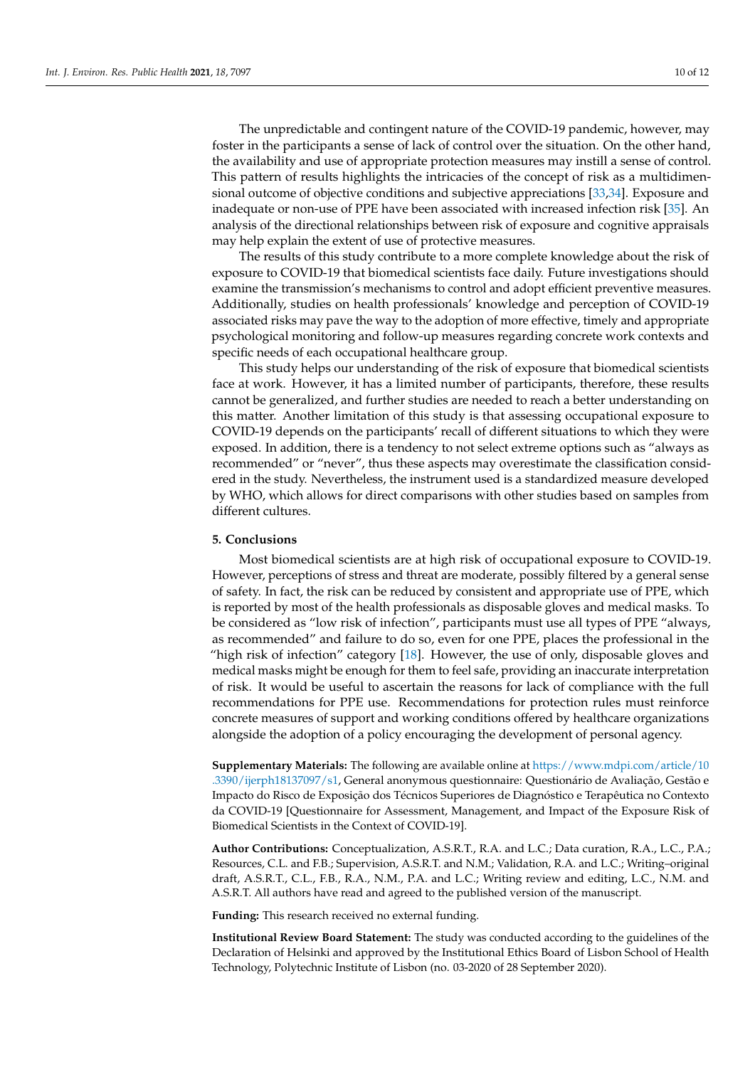The unpredictable and contingent nature of the COVID-19 pandemic, however, may foster in the participants a sense of lack of control over the situation. On the other hand, the availability and use of appropriate protection measures may instill a sense of control. This pattern of results highlights the intricacies of the concept of risk as a multidimensional outcome of objective conditions and subjective appreciations [\[33](#page-11-14)[,34\]](#page-11-15). Exposure and inadequate or non-use of PPE have been associated with increased infection risk [\[35\]](#page-11-16). An analysis of the directional relationships between risk of exposure and cognitive appraisals may help explain the extent of use of protective measures.

The results of this study contribute to a more complete knowledge about the risk of exposure to COVID-19 that biomedical scientists face daily. Future investigations should examine the transmission's mechanisms to control and adopt efficient preventive measures. Additionally, studies on health professionals' knowledge and perception of COVID-19 associated risks may pave the way to the adoption of more effective, timely and appropriate psychological monitoring and follow-up measures regarding concrete work contexts and specific needs of each occupational healthcare group.

This study helps our understanding of the risk of exposure that biomedical scientists face at work. However, it has a limited number of participants, therefore, these results cannot be generalized, and further studies are needed to reach a better understanding on this matter. Another limitation of this study is that assessing occupational exposure to COVID-19 depends on the participants' recall of different situations to which they were exposed. In addition, there is a tendency to not select extreme options such as "always as recommended" or "never", thus these aspects may overestimate the classification considered in the study. Nevertheless, the instrument used is a standardized measure developed by WHO, which allows for direct comparisons with other studies based on samples from different cultures.

### **5. Conclusions**

Most biomedical scientists are at high risk of occupational exposure to COVID-19. However, perceptions of stress and threat are moderate, possibly filtered by a general sense of safety. In fact, the risk can be reduced by consistent and appropriate use of PPE, which is reported by most of the health professionals as disposable gloves and medical masks. To be considered as "low risk of infection", participants must use all types of PPE "always, as recommended" and failure to do so, even for one PPE, places the professional in the "high risk of infection" category [\[18\]](#page-10-17). However, the use of only, disposable gloves and medical masks might be enough for them to feel safe, providing an inaccurate interpretation of risk. It would be useful to ascertain the reasons for lack of compliance with the full recommendations for PPE use. Recommendations for protection rules must reinforce concrete measures of support and working conditions offered by healthcare organizations alongside the adoption of a policy encouraging the development of personal agency.

**Supplementary Materials:** The following are available online at [https://www.mdpi.com/article/10](https://www.mdpi.com/article/10.3390/ijerph18137097/s1) [.3390/ijerph18137097/s1,](https://www.mdpi.com/article/10.3390/ijerph18137097/s1) General anonymous questionnaire: Questionário de Avaliação, Gestão e Impacto do Risco de Exposição dos Técnicos Superiores de Diagnóstico e Terapêutica no Contexto da COVID-19 [Questionnaire for Assessment, Management, and Impact of the Exposure Risk of Biomedical Scientists in the Context of COVID-19].

**Author Contributions:** Conceptualization, A.S.R.T., R.A. and L.C.; Data curation, R.A., L.C., P.A.; Resources, C.L. and F.B.; Supervision, A.S.R.T. and N.M.; Validation, R.A. and L.C.; Writing–original draft, A.S.R.T., C.L., F.B., R.A., N.M., P.A. and L.C.; Writing review and editing, L.C., N.M. and A.S.R.T. All authors have read and agreed to the published version of the manuscript.

**Funding:** This research received no external funding.

**Institutional Review Board Statement:** The study was conducted according to the guidelines of the Declaration of Helsinki and approved by the Institutional Ethics Board of Lisbon School of Health Technology, Polytechnic Institute of Lisbon (no. 03-2020 of 28 September 2020).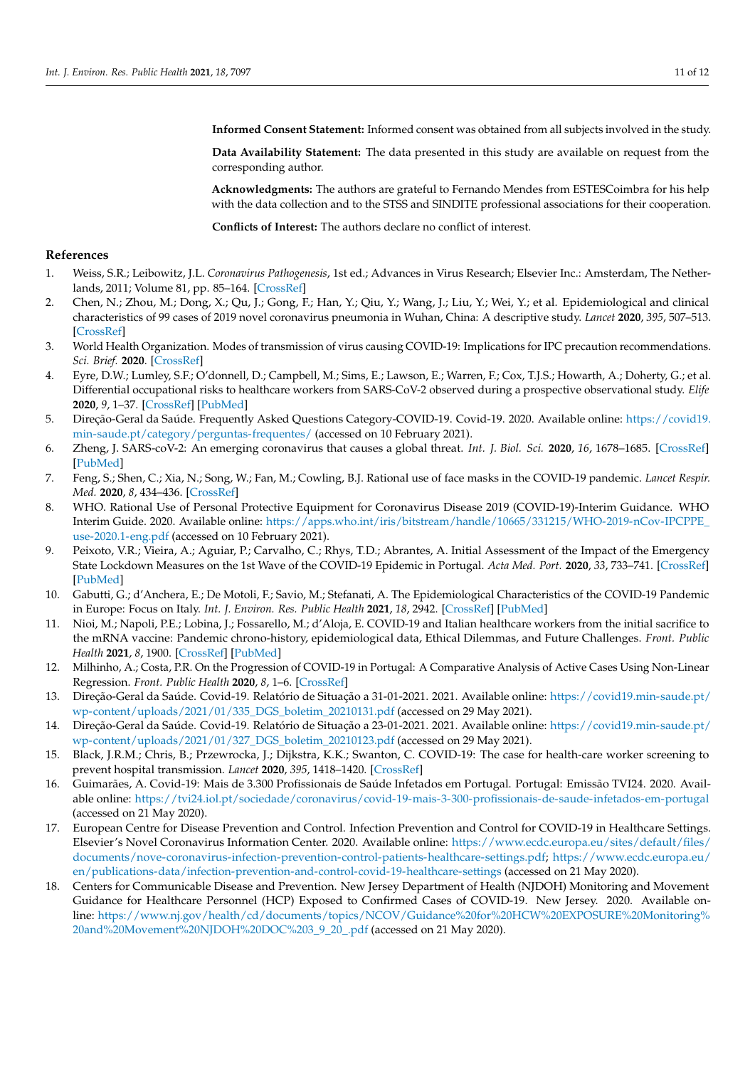**Informed Consent Statement:** Informed consent was obtained from all subjects involved in the study.

**Data Availability Statement:** The data presented in this study are available on request from the corresponding author.

**Acknowledgments:** The authors are grateful to Fernando Mendes from ESTESCoimbra for his help with the data collection and to the STSS and SINDITE professional associations for their cooperation.

**Conflicts of Interest:** The authors declare no conflict of interest.

## **References**

- <span id="page-10-0"></span>1. Weiss, S.R.; Leibowitz, J.L. *Coronavirus Pathogenesis*, 1st ed.; Advances in Virus Research; Elsevier Inc.: Amsterdam, The Netherlands, 2011; Volume 81, pp. 85–164. [\[CrossRef\]](http://doi.org/10.1016/B978-0-12-385885-6.00009-2)
- <span id="page-10-1"></span>2. Chen, N.; Zhou, M.; Dong, X.; Qu, J.; Gong, F.; Han, Y.; Qiu, Y.; Wang, J.; Liu, Y.; Wei, Y.; et al. Epidemiological and clinical characteristics of 99 cases of 2019 novel coronavirus pneumonia in Wuhan, China: A descriptive study. *Lancet* **2020**, *395*, 507–513. [\[CrossRef\]](http://doi.org/10.1016/S0140-6736(20)30211-7)
- <span id="page-10-2"></span>3. World Health Organization. Modes of transmission of virus causing COVID-19: Implications for IPC precaution recommendations. *Sci. Brief.* **2020**. [\[CrossRef\]](http://doi.org/10.1056/NEJMoa2001316.5)
- <span id="page-10-3"></span>4. Eyre, D.W.; Lumley, S.F.; O'donnell, D.; Campbell, M.; Sims, E.; Lawson, E.; Warren, F.; Cox, T.J.S.; Howarth, A.; Doherty, G.; et al. Differential occupational risks to healthcare workers from SARS-CoV-2 observed during a prospective observational study. *Elife* **2020**, *9*, 1–37. [\[CrossRef\]](http://doi.org/10.7554/eLife.60675) [\[PubMed\]](http://www.ncbi.nlm.nih.gov/pubmed/32820721)
- <span id="page-10-4"></span>5. Direção-Geral da Saúde. Frequently Asked Questions Category-COVID-19. Covid-19. 2020. Available online: [https://covid19.](https://covid19.min-saude.pt/category/perguntas-frequentes/) [min-saude.pt/category/perguntas-frequentes/](https://covid19.min-saude.pt/category/perguntas-frequentes/) (accessed on 10 February 2021).
- <span id="page-10-5"></span>6. Zheng, J. SARS-coV-2: An emerging coronavirus that causes a global threat. *Int. J. Biol. Sci.* **2020**, *16*, 1678–1685. [\[CrossRef\]](http://doi.org/10.7150/ijbs.45053) [\[PubMed\]](http://www.ncbi.nlm.nih.gov/pubmed/32226285)
- <span id="page-10-6"></span>7. Feng, S.; Shen, C.; Xia, N.; Song, W.; Fan, M.; Cowling, B.J. Rational use of face masks in the COVID-19 pandemic. *Lancet Respir. Med.* **2020**, *8*, 434–436. [\[CrossRef\]](http://doi.org/10.1016/S2213-2600(20)30134-X)
- <span id="page-10-7"></span>8. WHO. Rational Use of Personal Protective Equipment for Coronavirus Disease 2019 (COVID-19)-Interim Guidance. WHO Interim Guide. 2020. Available online: [https://apps.who.int/iris/bitstream/handle/10665/331215/WHO-2019-nCov-IPCPPE\\_](https://apps.who.int/iris/bitstream/handle/10665/331215/WHO-2019-nCov-IPCPPE_use-2020.1-eng.pdf) [use-2020.1-eng.pdf](https://apps.who.int/iris/bitstream/handle/10665/331215/WHO-2019-nCov-IPCPPE_use-2020.1-eng.pdf) (accessed on 10 February 2021).
- <span id="page-10-8"></span>9. Peixoto, V.R.; Vieira, A.; Aguiar, P.; Carvalho, C.; Rhys, T.D.; Abrantes, A. Initial Assessment of the Impact of the Emergency State Lockdown Measures on the 1st Wave of the COVID-19 Epidemic in Portugal. *Acta Med. Port.* **2020**, *33*, 733–741. [\[CrossRef\]](http://doi.org/10.20344/amp.14129) [\[PubMed\]](http://www.ncbi.nlm.nih.gov/pubmed/33160423)
- <span id="page-10-9"></span>10. Gabutti, G.; d'Anchera, E.; De Motoli, F.; Savio, M.; Stefanati, A. The Epidemiological Characteristics of the COVID-19 Pandemic in Europe: Focus on Italy. *Int. J. Environ. Res. Public Health* **2021**, *18*, 2942. [\[CrossRef\]](http://doi.org/10.3390/ijerph18062942) [\[PubMed\]](http://www.ncbi.nlm.nih.gov/pubmed/33805624)
- <span id="page-10-10"></span>11. Nioi, M.; Napoli, P.E.; Lobina, J.; Fossarello, M.; d'Aloja, E. COVID-19 and Italian healthcare workers from the initial sacrifice to the mRNA vaccine: Pandemic chrono-history, epidemiological data, Ethical Dilemmas, and Future Challenges. *Front. Public Health* **2021**, *8*, 1900. [\[CrossRef\]](http://doi.org/10.3389/fpubh.2020.591900) [\[PubMed\]](http://www.ncbi.nlm.nih.gov/pubmed/33553091)
- <span id="page-10-11"></span>12. Milhinho, A.; Costa, P.R. On the Progression of COVID-19 in Portugal: A Comparative Analysis of Active Cases Using Non-Linear Regression. *Front. Public Health* **2020**, *8*, 1–6. [\[CrossRef\]](http://doi.org/10.3389/fpubh.2020.00495)
- <span id="page-10-12"></span>13. Direção-Geral da Saúde. Covid-19. Relatório de Situação a 31-01-2021. 2021. Available online: [https://covid19.min-saude.pt/](https://covid19.min-saude.pt/wp-content/uploads/2021/01/335_DGS_boletim_20210131.pdf) [wp-content/uploads/2021/01/335\\_DGS\\_boletim\\_20210131.pdf](https://covid19.min-saude.pt/wp-content/uploads/2021/01/335_DGS_boletim_20210131.pdf) (accessed on 29 May 2021).
- <span id="page-10-13"></span>14. Direção-Geral da Saúde. Covid-19. Relatório de Situação a 23-01-2021. 2021. Available online: [https://covid19.min-saude.pt/](https://covid19.min-saude.pt/wp-content/uploads/2021/01/327_DGS_boletim_20210123.pdf) [wp-content/uploads/2021/01/327\\_DGS\\_boletim\\_20210123.pdf](https://covid19.min-saude.pt/wp-content/uploads/2021/01/327_DGS_boletim_20210123.pdf) (accessed on 29 May 2021).
- <span id="page-10-14"></span>15. Black, J.R.M.; Chris, B.; Przewrocka, J.; Dijkstra, K.K.; Swanton, C. COVID-19: The case for health-care worker screening to prevent hospital transmission. *Lancet* **2020**, *395*, 1418–1420. [\[CrossRef\]](http://doi.org/10.1016/S0140-6736(20)30917-X)
- <span id="page-10-15"></span>16. Guimarães, A. Covid-19: Mais de 3.300 Profissionais de Saúde Infetados em Portugal. Portugal: Emissão TVI24. 2020. Available online: <https://tvi24.iol.pt/sociedade/coronavirus/covid-19-mais-3-300-profissionais-de-saude-infetados-em-portugal> (accessed on 21 May 2020).
- <span id="page-10-16"></span>17. European Centre for Disease Prevention and Control. Infection Prevention and Control for COVID-19 in Healthcare Settings. Elsevier's Novel Coronavirus Information Center. 2020. Available online: [https://www.ecdc.europa.eu/sites/default/files/](https://www.ecdc.europa.eu/sites/default/files/documents/nove-coronavirus-infection-prevention-control-patients-healthcare-settings.pdf) [documents/nove-coronavirus-infection-prevention-control-patients-healthcare-settings.pdf;](https://www.ecdc.europa.eu/sites/default/files/documents/nove-coronavirus-infection-prevention-control-patients-healthcare-settings.pdf) [https://www.ecdc.europa.eu/](https://www.ecdc.europa.eu/en/publications-data/infection-prevention-and-control-covid-19-healthcare-settings) [en/publications-data/infection-prevention-and-control-covid-19-healthcare-settings](https://www.ecdc.europa.eu/en/publications-data/infection-prevention-and-control-covid-19-healthcare-settings) (accessed on 21 May 2020).
- <span id="page-10-17"></span>18. Centers for Communicable Disease and Prevention. New Jersey Department of Health (NJDOH) Monitoring and Movement Guidance for Healthcare Personnel (HCP) Exposed to Confirmed Cases of COVID-19. New Jersey. 2020. Available online: [https://www.nj.gov/health/cd/documents/topics/NCOV/Guidance%20for%20HCW%20EXPOSURE%20Monitoring%](https://www.nj.gov/health/cd/documents/topics/NCOV/Guidance%20for%20HCW%20EXPOSURE%20Monitoring%20and%20Movement%20NJDOH%20DOC%203_9_20_.pdf) [20and%20Movement%20NJDOH%20DOC%203\\_9\\_20\\_.pdf](https://www.nj.gov/health/cd/documents/topics/NCOV/Guidance%20for%20HCW%20EXPOSURE%20Monitoring%20and%20Movement%20NJDOH%20DOC%203_9_20_.pdf) (accessed on 21 May 2020).